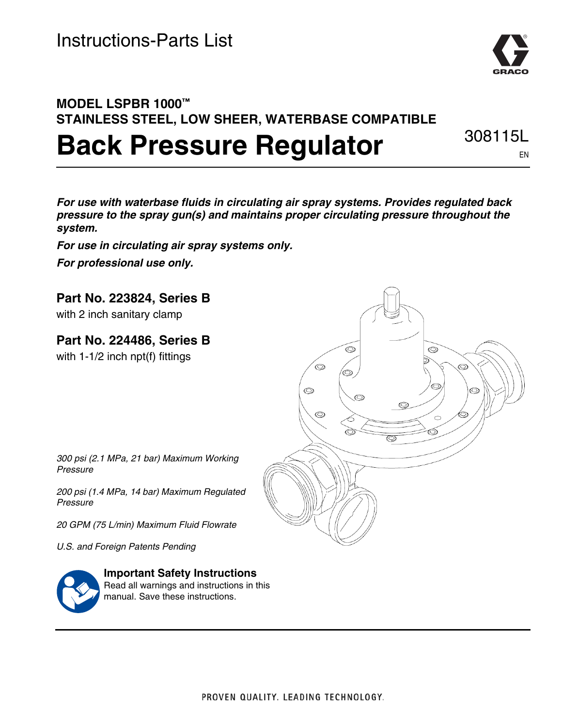

### **MODEL LSPBR 1000™ STAINLESS STEEL, LOW SHEER, WATERBASE COMPATIBLE Back Pressure Regulator** 308115L

EN

*For use with waterbase fluids in circulating air spray systems. Provides regulated back pressure to the spray gun(s) and maintains proper circulating pressure throughout the system.*

*For use in circulating air spray systems only. For professional use only.*

**Part No. 223824, Series B**

with 2 inch sanitary clamp

**Part No. 224486, Series B**

with 1-1/2 inch npt(f) fittings



*300 psi (2.1 MPa, 21 bar) Maximum Working Pressure*

*200 psi (1.4 MPa, 14 bar) Maximum Regulated Pressure*

*20 GPM (75 L/min) Maximum Fluid Flowrate*

*U.S. and Foreign Patents Pending*



**Important Safety Instructions** Read all warnings and instructions in this manual. Save these instructions.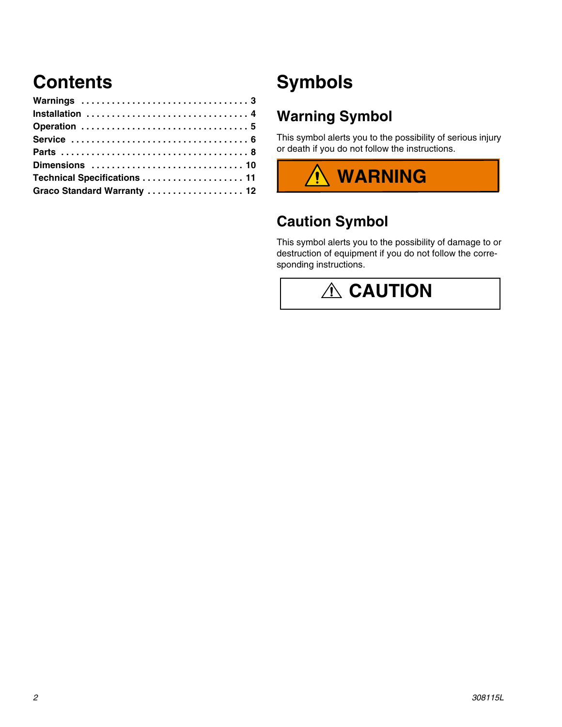## **Contents**

| Installation  4             |  |
|-----------------------------|--|
|                             |  |
|                             |  |
|                             |  |
|                             |  |
|                             |  |
| Graco Standard Warranty  12 |  |

## **Symbols**

#### **Warning Symbol**

This symbol alerts you to the possibility of serious injury or death if you do not follow the instructions.



#### **Caution Symbol**

This symbol alerts you to the possibility of damage to or destruction of equipment if you do not follow the corresponding instructions.

# **A** CAUTION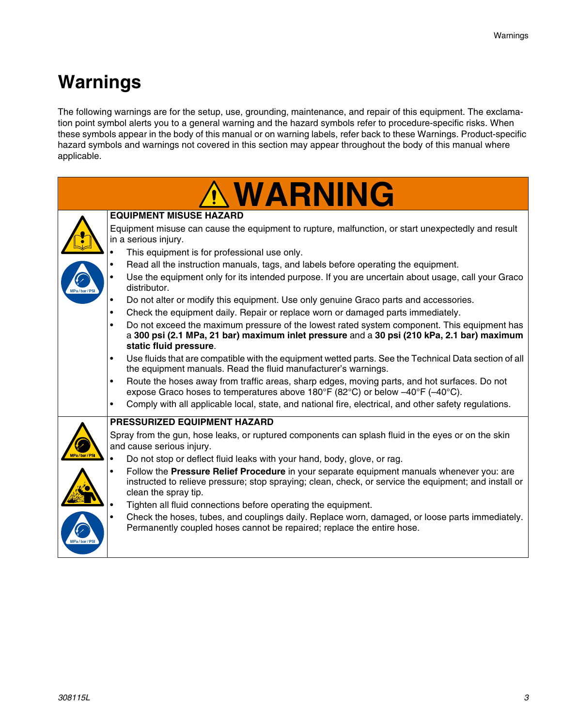## **Warnings**

The following warnings are for the setup, use, grounding, maintenance, and repair of this equipment. The exclamation point symbol alerts you to a general warning and the hazard symbols refer to procedure-specific risks. When these symbols appear in the body of this manual or on warning labels, refer back to these Warnings. Product-specific hazard symbols and warnings not covered in this section may appear throughout the body of this manual where applicable.

|           | <b>WARNING</b>                                                                                                                                                                                                                          |  |  |  |  |  |
|-----------|-----------------------------------------------------------------------------------------------------------------------------------------------------------------------------------------------------------------------------------------|--|--|--|--|--|
|           | <b>EQUIPMENT MISUSE HAZARD</b>                                                                                                                                                                                                          |  |  |  |  |  |
|           | Equipment misuse can cause the equipment to rupture, malfunction, or start unexpectedly and result                                                                                                                                      |  |  |  |  |  |
|           | in a serious injury.                                                                                                                                                                                                                    |  |  |  |  |  |
|           | This equipment is for professional use only.                                                                                                                                                                                            |  |  |  |  |  |
|           | Read all the instruction manuals, tags, and labels before operating the equipment.                                                                                                                                                      |  |  |  |  |  |
|           | Use the equipment only for its intended purpose. If you are uncertain about usage, call your Graco<br>distributor.                                                                                                                      |  |  |  |  |  |
|           | Do not alter or modify this equipment. Use only genuine Graco parts and accessories.<br>$\bullet$                                                                                                                                       |  |  |  |  |  |
|           | Check the equipment daily. Repair or replace worn or damaged parts immediately.<br>$\bullet$                                                                                                                                            |  |  |  |  |  |
|           | Do not exceed the maximum pressure of the lowest rated system component. This equipment has<br>$\bullet$<br>a 300 psi (2.1 MPa, 21 bar) maximum inlet pressure and a 30 psi (210 kPa, 2.1 bar) maximum<br>static fluid pressure.        |  |  |  |  |  |
|           | Use fluids that are compatible with the equipment wetted parts. See the Technical Data section of all<br>the equipment manuals. Read the fluid manufacturer's warnings.                                                                 |  |  |  |  |  |
|           | Route the hoses away from traffic areas, sharp edges, moving parts, and hot surfaces. Do not<br>$\bullet$<br>expose Graco hoses to temperatures above 180°F (82°C) or below $-40^{\circ}$ F ( $-40^{\circ}$ C).                         |  |  |  |  |  |
|           | Comply with all applicable local, state, and national fire, electrical, and other safety regulations.<br>$\bullet$                                                                                                                      |  |  |  |  |  |
|           | <b>PRESSURIZED EQUIPMENT HAZARD</b>                                                                                                                                                                                                     |  |  |  |  |  |
|           | Spray from the gun, hose leaks, or ruptured components can splash fluid in the eyes or on the skin<br>and cause serious injury.                                                                                                         |  |  |  |  |  |
|           | Do not stop or deflect fluid leaks with your hand, body, glove, or rag.                                                                                                                                                                 |  |  |  |  |  |
|           | Follow the Pressure Relief Procedure in your separate equipment manuals whenever you: are<br>$\bullet$<br>instructed to relieve pressure; stop spraying; clean, check, or service the equipment; and install or<br>clean the spray tip. |  |  |  |  |  |
|           | Tighten all fluid connections before operating the equipment.                                                                                                                                                                           |  |  |  |  |  |
| //Pa/bar/ | Check the hoses, tubes, and couplings daily. Replace worn, damaged, or loose parts immediately.<br>Permanently coupled hoses cannot be repaired; replace the entire hose.                                                               |  |  |  |  |  |
|           |                                                                                                                                                                                                                                         |  |  |  |  |  |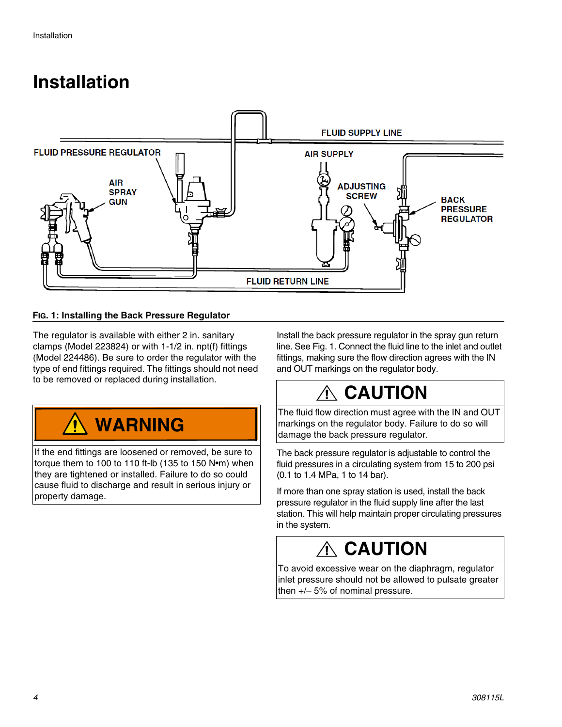### <span id="page-3-0"></span>**Installation**



#### **FIG. 1: Installing the Back Pressure Regulator**

The regulator is available with either 2 in. sanitary clamps (Model 223824) or with 1-1/2 in. npt(f) fittings (Model 224486). Be sure to order the regulator with the type of end fittings required. The fittings should not need to be removed or replaced during installation.



If the end fittings are loosened or removed, be sure to torque them to 100 to 110 ft-lb (135 to 150 N•m) when they are tightened or installed. Failure to do so could cause fluid to discharge and result in serious injury or property damage.

Install the back pressure regulator in the spray gun return line. See Fig. 1. Connect the fluid line to the inlet and outlet fittings, making sure the flow direction agrees with the IN and OUT markings on the regulator body.

## **CAUTION**

The fluid flow direction must agree with the IN and OUT markings on the regulator body. Failure to do so will damage the back pressure regulator.

The back pressure regulator is adjustable to control the fluid pressures in a circulating system from 15 to 200 psi (0.1 to 1.4 MPa, 1 to 14 bar).

If more than one spray station is used, install the back pressure regulator in the fluid supply line after the last station. This will help maintain proper circulating pressures in the system.

## **CAUTION**

To avoid excessive wear on the diaphragm, regulator inlet pressure should not be allowed to pulsate greater then +/– 5% of nominal pressure.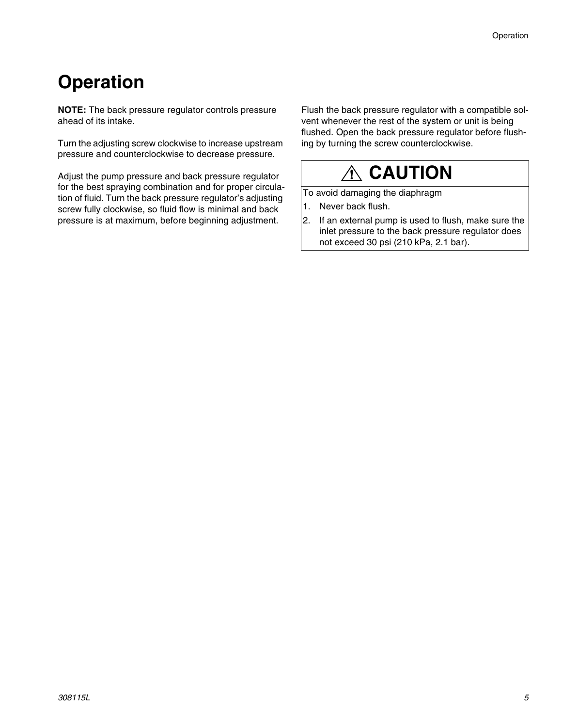## <span id="page-4-0"></span>**Operation**

**NOTE:** The back pressure regulator controls pressure ahead of its intake.

Turn the adjusting screw clockwise to increase upstream pressure and counterclockwise to decrease pressure.

Adjust the pump pressure and back pressure regulator for the best spraying combination and for proper circulation of fluid. Turn the back pressure regulator's adjusting screw fully clockwise, so fluid flow is minimal and back pressure is at maximum, before beginning adjustment.

Flush the back pressure regulator with a compatible solvent whenever the rest of the system or unit is being flushed. Open the back pressure regulator before flushing by turning the screw counterclockwise.

## **CAUTION**

To avoid damaging the diaphragm

- 1. Never back flush.
- 2. If an external pump is used to flush, make sure the inlet pressure to the back pressure regulator does not exceed 30 psi (210 kPa, 2.1 bar).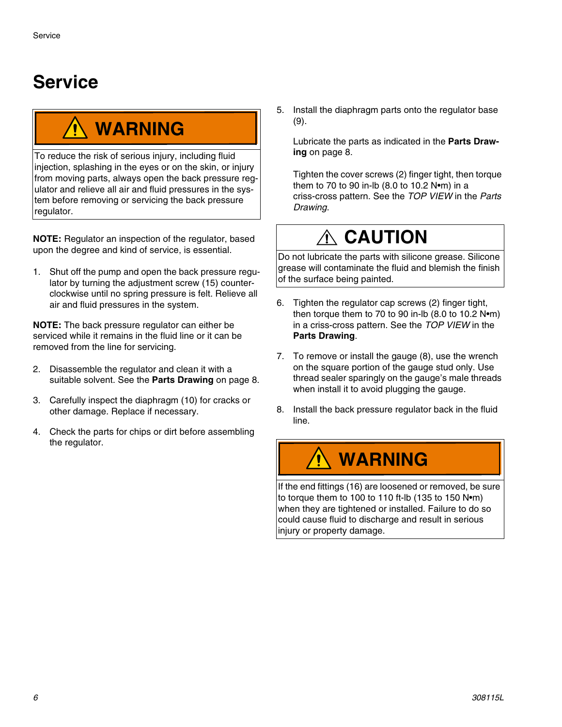## <span id="page-5-0"></span>**Service**

# **WARNING**

To reduce the risk of serious injury, including fluid injection, splashing in the eyes or on the skin, or injury from moving parts, always open the back pressure regulator and relieve all air and fluid pressures in the system before removing or servicing the back pressure regulator.

**NOTE:** Regulator an inspection of the regulator, based upon the degree and kind of service, is essential.

1. Shut off the pump and open the back pressure regulator by turning the adjustment screw (15) counterclockwise until no spring pressure is felt. Relieve all air and fluid pressures in the system.

**NOTE:** The back pressure regulator can either be serviced while it remains in the fluid line or it can be removed from the line for servicing.

- 2. Disassemble the regulator and clean it with a suitable solvent. See the **Parts Drawing** on page 8.
- 3. Carefully inspect the diaphragm (10) for cracks or other damage. Replace if necessary.
- 4. Check the parts for chips or dirt before assembling the regulator.

5. Install the diaphragm parts onto the regulator base (9).

Lubricate the parts as indicated in the **Parts Drawing** on page 8.

Tighten the cover screws (2) finger tight, then torque them to 70 to 90 in-lb (8.0 to 10.2 N•m) in a criss-cross pattern. See the *TOP VIEW* in the *Parts Drawing*.

## **CAUTION**

Do not lubricate the parts with silicone grease. Silicone grease will contaminate the fluid and blemish the finish of the surface being painted.

- 6. Tighten the regulator cap screws (2) finger tight, then torque them to 70 to 90 in-lb (8.0 to 10.2 N•m) in a criss-cross pattern. See the *TOP VIEW* in the **Parts Drawing**.
- 7. To remove or install the gauge (8), use the wrench on the square portion of the gauge stud only. Use thread sealer sparingly on the gauge's male threads when install it to avoid plugging the gauge.
- 8. Install the back pressure regulator back in the fluid line.

# **WARNING**

If the end fittings (16) are loosened or removed, be sure to torque them to 100 to 110 ft-lb (135 to 150 N•m) when they are tightened or installed. Failure to do so could cause fluid to discharge and result in serious injury or property damage.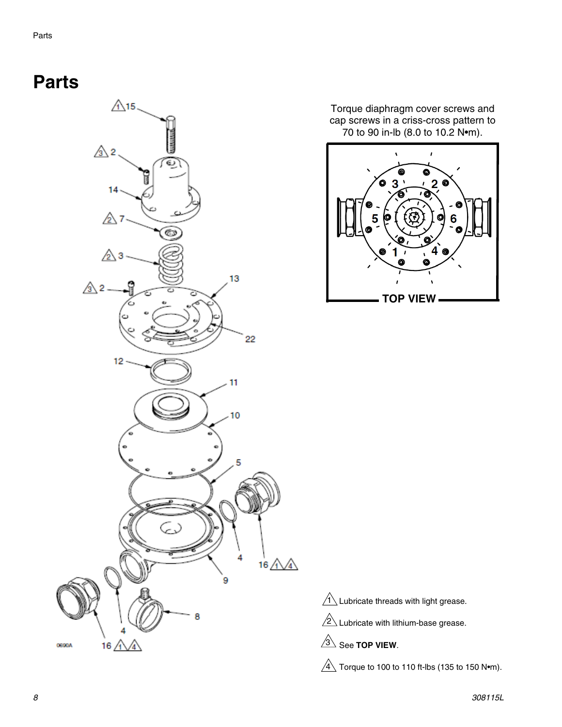### <span id="page-7-0"></span>**Parts**



Torque diaphragm cover screws and cap screws in a criss-cross pattern to 70 to 90 in-lb (8.0 to 10.2 N•m).



 $1\overline{\smash{\backslash}}$  Lubricate threads with light grease.

 $2\Delta$  Lubricate with lithium-base grease.

 $\overline{\text{3}}$  See TOP VIEW.

 $4\overline{\!\setminus}$  Torque to 100 to 110 ft-lbs (135 to 150 N•m).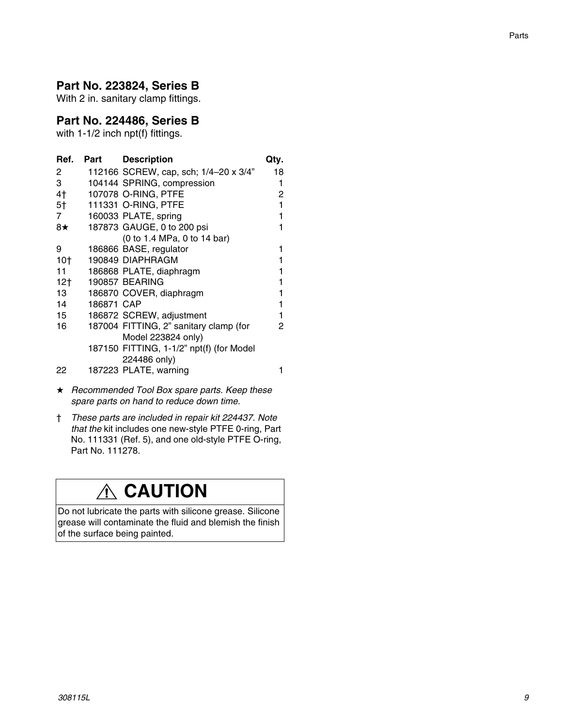#### **Part No. 223824, Series B**

With 2 in. sanitary clamp fittings.

#### **Part No. 224486, Series B**

with 1-1/2 inch npt(f) fittings.

| Ref.            | Part       | <b>Description</b>                       | Qty. |
|-----------------|------------|------------------------------------------|------|
| 2               |            | 112166 SCREW, cap, sch; 1/4-20 x 3/4"    | 18   |
| 3               |            | 104144 SPRING, compression               | 1    |
| 4†              |            | 107078 O-RING, PTFE                      | 2    |
| 5†              |            | 111331 O-RING, PTFE                      | 1    |
| 7               |            | 160033 PLATE, spring                     |      |
| 8★              |            | 187873 GAUGE, 0 to 200 psi               |      |
|                 |            | (0 to 1.4 MPa, 0 to 14 bar)              |      |
| 9               |            | 186866 BASE, regulator                   |      |
| 10 <sub>1</sub> |            | 190849 DIAPHRAGM                         |      |
| 11              |            | 186868 PLATE, diaphragm                  |      |
| 12 <sub>1</sub> |            | 190857 BEARING                           |      |
| 13              |            | 186870 COVER, diaphragm                  |      |
| 14              | 186871 CAP |                                          |      |
| 15              |            | 186872 SCREW, adjustment                 |      |
| 16              |            | 187004 FITTING, 2" sanitary clamp (for   | 2    |
|                 |            | Model 223824 only)                       |      |
|                 |            | 187150 FITTING, 1-1/2" npt(f) (for Model |      |
|                 |            | 224486 only)                             |      |
| 22              |            | 187223 PLATE, warning                    |      |

- *Recommended Tool Box spare parts. Keep these spare parts on hand to reduce down time.*
- † *These parts are included in repair kit 224437. Note that the* kit includes one new-style PTFE 0-ring, Part No. 111331 (Ref. 5), and one old-style PTFE O-ring, Part No. 111278.

### **CAUTION**

Do not lubricate the parts with silicone grease. Silicone grease will contaminate the fluid and blemish the finish of the surface being painted.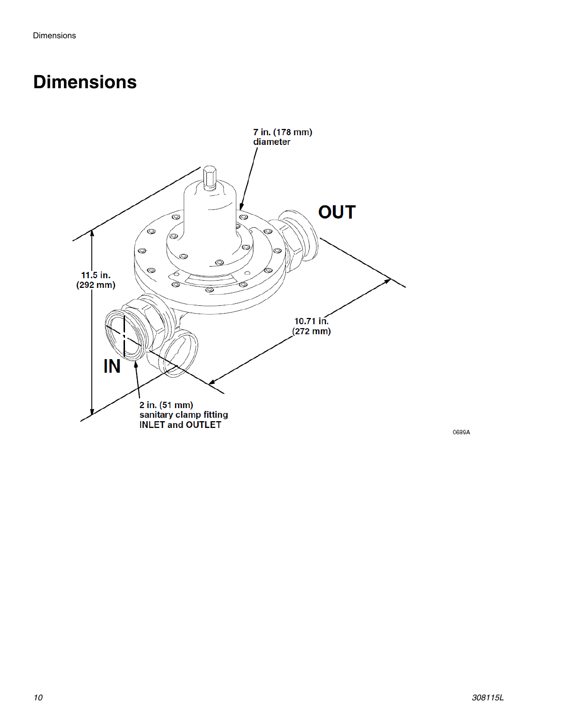### <span id="page-9-0"></span>**Dimensions**



0689A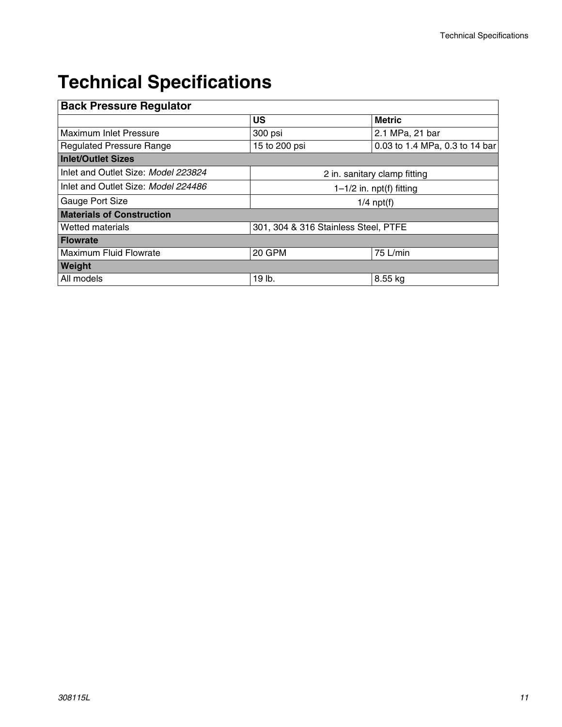## <span id="page-10-0"></span>**Technical Specifications**

| <b>Back Pressure Regulator</b>      |                                      |                                |  |  |  |
|-------------------------------------|--------------------------------------|--------------------------------|--|--|--|
|                                     | US                                   | <b>Metric</b>                  |  |  |  |
| Maximum Inlet Pressure              | 300 psi                              | 2.1 MPa, 21 bar                |  |  |  |
| <b>Regulated Pressure Range</b>     | 15 to 200 psi                        | 0.03 to 1.4 MPa, 0.3 to 14 bar |  |  |  |
| <b>Inlet/Outlet Sizes</b>           |                                      |                                |  |  |  |
| Inlet and Outlet Size: Model 223824 | 2 in. sanitary clamp fitting         |                                |  |  |  |
| Inlet and Outlet Size: Model 224486 | $1-1/2$ in. npt(f) fitting           |                                |  |  |  |
| Gauge Port Size                     | $1/4$ npt(f)                         |                                |  |  |  |
| <b>Materials of Construction</b>    |                                      |                                |  |  |  |
| <b>Wetted materials</b>             | 301, 304 & 316 Stainless Steel, PTFE |                                |  |  |  |
| <b>Flowrate</b>                     |                                      |                                |  |  |  |
| <b>Maximum Fluid Flowrate</b>       | 20 GPM                               | $75$ L/min                     |  |  |  |
| Weight                              |                                      |                                |  |  |  |
| All models                          | 19 lb.                               | 8.55 kg                        |  |  |  |